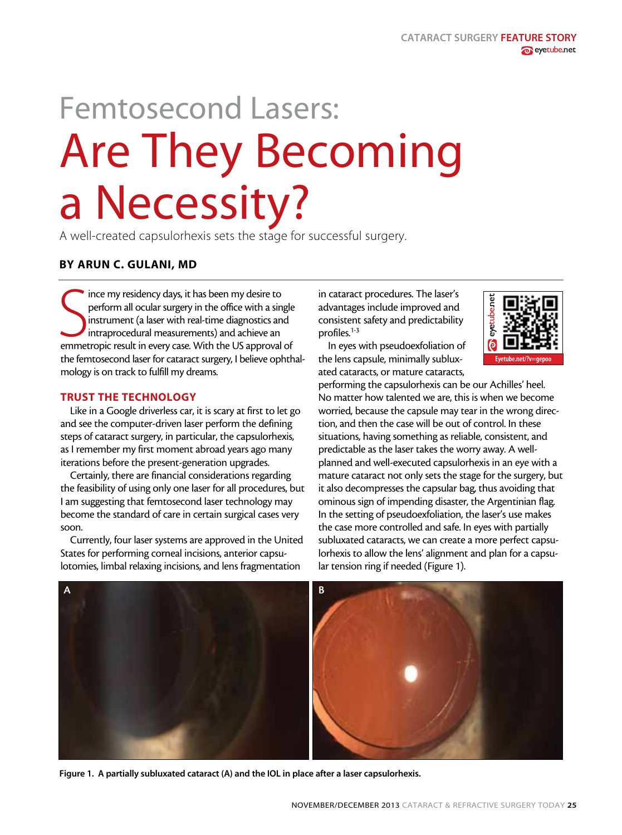# Femtosecond Lasers: Are They Becoming a Necessity?

A well-created capsulorhexis sets the stage for successful surgery.

## BY ARUN C. GULANI, MD

Since my residency days, it has been my desire to<br>perform all ocular surgery in the office with a single<br>instrument (a laser with real-time diagnostics and<br>intraprocedural measurements) and achieve an<br>emmetropic result in ince my residency days, it has been my desire to perform all ocular surgery in the office with a single instrument (a laser with real-time diagnostics and intraprocedural measurements) and achieve an the femtosecond laser for cataract surgery, I believe ophthalmology is on track to fulfill my dreams.

### TRUST THE TECHNOLOGY

Like in a Google driverless car, it is scary at first to let go and see the computer-driven laser perform the defining steps of cataract surgery, in particular, the capsulorhexis, as I remember my first moment abroad years ago many iterations before the present-generation upgrades.

Certainly, there are financial considerations regarding the feasibility of using only one laser for all procedures, but I am suggesting that femtosecond laser technology may become the standard of care in certain surgical cases very soon.

Currently, four laser systems are approved in the United States for performing corneal incisions, anterior capsulotomies, limbal relaxing incisions, and lens fragmentation

in cataract procedures. The laser's advantages include improved and consistent safety and predictability profiles.<sup>1-3</sup>

In eyes with pseudoexfoliation of the lens capsule, minimally subluxated cataracts, or mature cataracts,



performing the capsulorhexis can be our Achilles' heel. No matter how talented we are, this is when we become worried, because the capsule may tear in the wrong direction, and then the case will be out of control. In these situations, having something as reliable, consistent, and predictable as the laser takes the worry away. A wellplanned and well-executed capsulorhexis in an eye with a mature cataract not only sets the stage for the surgery, but it also decompresses the capsular bag, thus avoiding that ominous sign of impending disaster, the Argentinian flag. In the setting of pseudoexfoliation, the laser's use makes the case more controlled and safe. In eyes with partially subluxated cataracts, we can create a more perfect capsulorhexis to allow the lens' alignment and plan for a capsular tension ring if needed (Figure 1).



Figure 1. A partially subluxated cataract (A) and the IOL in place after a laser capsulorhexis.